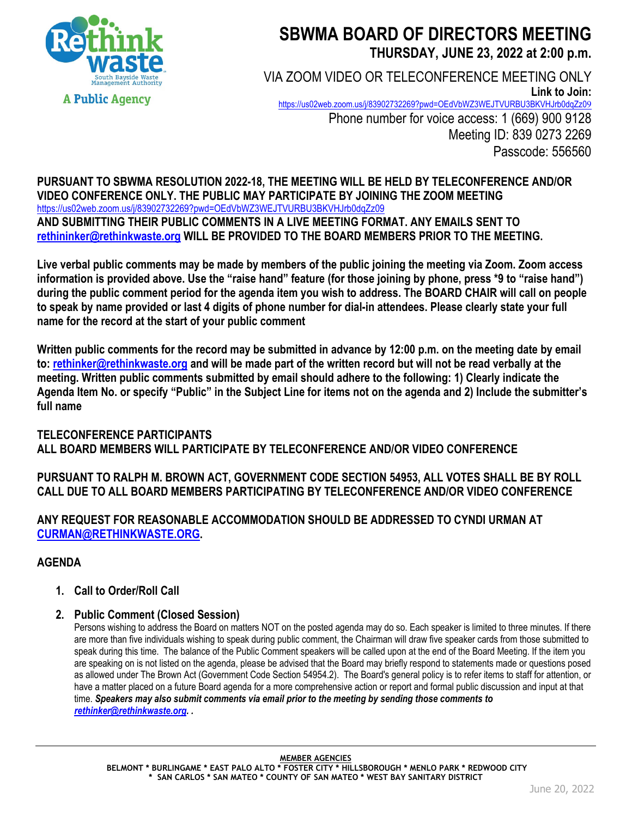

# **SBWMA BOARD OF DIRECTORS MEETING THURSDAY, JUNE 23, 2022 at 2:00 p.m.**

VIA ZOOM VIDEO OR TELECONFERENCE MEETING ONLY **Link to Join:**  https://us02web.zoom.us/i/83902732269?pwd=OEdVbWZ3WEJTVURBU3BKVHJrb0dqZz09 Phone number for voice access: 1 (669) 900 9128 Meeting ID: 839 0273 2269 Passcode: 556560

**PURSUANT TO SBWMA RESOLUTION 2022-18, THE MEETING WILL BE HELD BY TELECONFERENCE AND/OR VIDEO CONFERENCE ONLY. THE PUBLIC MAY PARTICIPATE BY JOINING THE ZOOM MEETING**  https://us02web.zoom.us/j/83902732269?pwd=OEdVbWZ3WEJTVURBU3BKVHJrb0dqZz09 **AND SUBMITTING THEIR PUBLIC COMMENTS IN A LIVE MEETING FORMAT. ANY EMAILS SENT TO rethininker@rethinkwaste.org WILL BE PROVIDED TO THE BOARD MEMBERS PRIOR TO THE MEETING.** 

**Live verbal public comments may be made by members of the public joining the meeting via Zoom. Zoom access information is provided above. Use the "raise hand" feature (for those joining by phone, press \*9 to "raise hand") during the public comment period for the agenda item you wish to address. The BOARD CHAIR will call on people to speak by name provided or last 4 digits of phone number for dial-in attendees. Please clearly state your full name for the record at the start of your public comment** 

**Written public comments for the record may be submitted in advance by 12:00 p.m. on the meeting date by email to: rethinker@rethinkwaste.org and will be made part of the written record but will not be read verbally at the meeting. Written public comments submitted by email should adhere to the following: 1) Clearly indicate the Agenda Item No. or specify "Public" in the Subject Line for items not on the agenda and 2) Include the submitter's full name** 

# **TELECONFERENCE PARTICIPANTS ALL BOARD MEMBERS WILL PARTICIPATE BY TELECONFERENCE AND/OR VIDEO CONFERENCE**

**PURSUANT TO RALPH M. BROWN ACT, GOVERNMENT CODE SECTION 54953, ALL VOTES SHALL BE BY ROLL CALL DUE TO ALL BOARD MEMBERS PARTICIPATING BY TELECONFERENCE AND/OR VIDEO CONFERENCE** 

# **ANY REQUEST FOR REASONABLE ACCOMMODATION SHOULD BE ADDRESSED TO CYNDI URMAN AT CURMAN@RETHINKWASTE.ORG.**

# **AGENDA**

**1. Call to Order/Roll Call** 

#### **2. Public Comment (Closed Session)**

Persons wishing to address the Board on matters NOT on the posted agenda may do so. Each speaker is limited to three minutes. If there are more than five individuals wishing to speak during public comment, the Chairman will draw five speaker cards from those submitted to speak during this time. The balance of the Public Comment speakers will be called upon at the end of the Board Meeting. If the item you are speaking on is not listed on the agenda, please be advised that the Board may briefly respond to statements made or questions posed as allowed under The Brown Act (Government Code Section 54954.2). The Board's general policy is to refer items to staff for attention, or have a matter placed on a future Board agenda for a more comprehensive action or report and formal public discussion and input at that time. *Speakers may also submit comments via email prior to the meeting by sending those comments to rethinker@rethinkwaste.org. .*